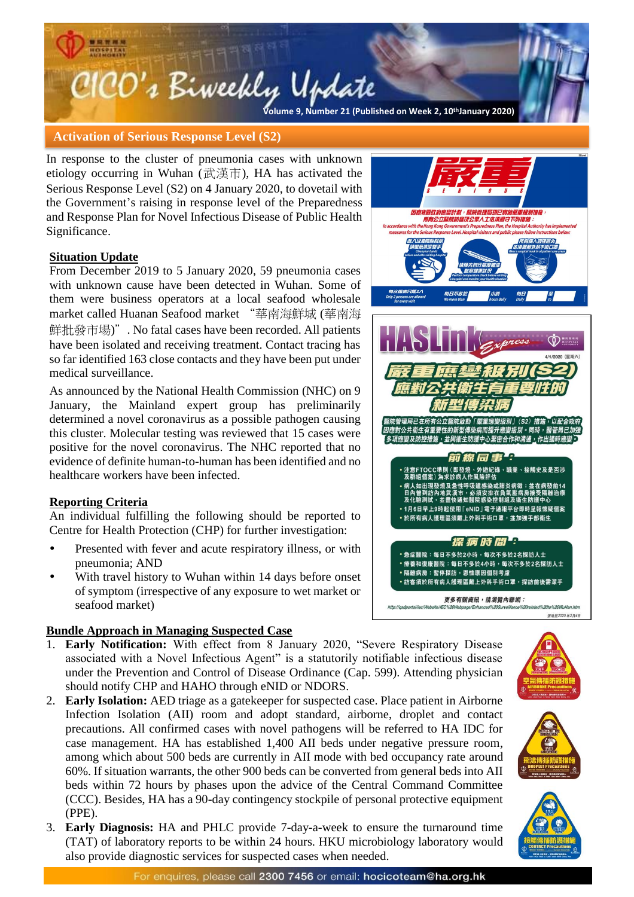# CICO's Biweekly Update **Volume 9, Number 4 (Published on Week 20, 17th May 2019) Volume 9, Number 21 (Published on Week 2, 10thJanuary 2020)**

#### **Activation of Serious Response Level (S2)**

In response to the cluster of pneumonia cases with unknown etiology occurring in Wuhan (武漢市), HA has activated the Serious Response Level (S2) on 4 January 2020, to dovetail with the Government's raising in response level of the Preparedness and Response Plan for Novel Infectious Disease of Public Health Significance.

#### **Situation Update**

From December 2019 to 5 January 2020, 59 pneumonia cases with unknown cause have been detected in Wuhan. Some of them were business operators at a local seafood wholesale market called Huanan Seafood market "華南海鮮城 (華南海 鮮批發市場)". No fatal cases have been recorded. All patients have been isolated and receiving treatment. Contact tracing has so far identified 163 close contacts and they have been put under medical surveillance.

As announced by the National Health Commission (NHC) on 9 January, the Mainland expert group has preliminarily determined a novel coronavirus as a possible pathogen causing this cluster. Molecular testing was reviewed that 15 cases were positive for the novel coronavirus. The NHC reported that no evidence of definite human-to-human has been identified and no healthcare workers have been infected.

# **Reporting Criteria**

An individual fulfilling the following should be reported to Centre for Health Protection (CHP) for further investigation:

- Presented with fever and acute respiratory illness, or with pneumonia; AND
- With travel history to Wuhan within 14 days before onset of symptom (irrespective of any exposure to wet market or seafood market)

# **Bundle Approach in Managing Suspected Case**

- 1. **Early Notification:** With effect from 8 January 2020, "Severe Respiratory Disease associated with a Novel Infectious Agent" is a statutorily notifiable infectious disease under the Prevention and Control of Disease Ordinance (Cap. 599). Attending physician should notify CHP and HAHO through eNID or NDORS.
- 2. **Early Isolation:** AED triage as a gatekeeper for suspected case. Place patient in Airborne Infection Isolation (AII) room and adopt standard, airborne, droplet and contact precautions. All confirmed cases with novel pathogens will be referred to HA IDC for case management. HA has established 1,400 AII beds under negative pressure room, among which about 500 beds are currently in AII mode with bed occupancy rate around 60%. If situation warrants, the other 900 beds can be converted from general beds into AII beds within 72 hours by phases upon the advice of the Central Command Committee (CCC). Besides, HA has a 90-day contingency stockpile of personal protective equipment (PPE).
- 3. **Early Diagnosis:** HA and PHLC provide 7-day-a-week to ensure the turnaround time (TAT) of laboratory reports to be within 24 hours. HKU microbiology laboratory would also provide diagnostic services for suspected cases when needed.